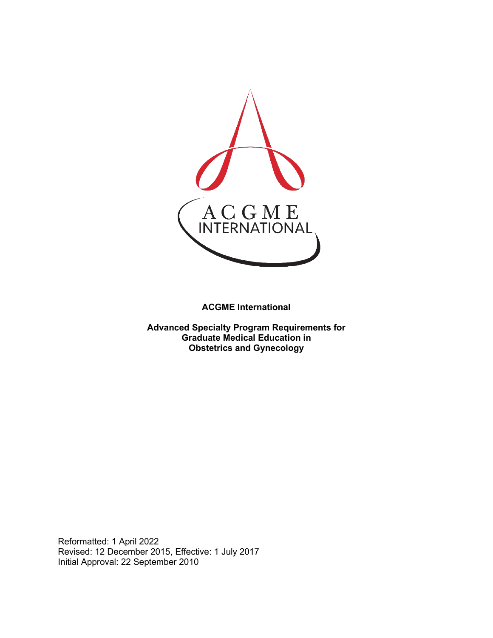

**ACGME International** 

**Advanced Specialty Program Requirements for Graduate Medical Education in Obstetrics and Gynecology**

Reformatted: 1 April 2022 Revised: 12 December 2015, Effective: 1 July 2017 Initial Approval: 22 September 2010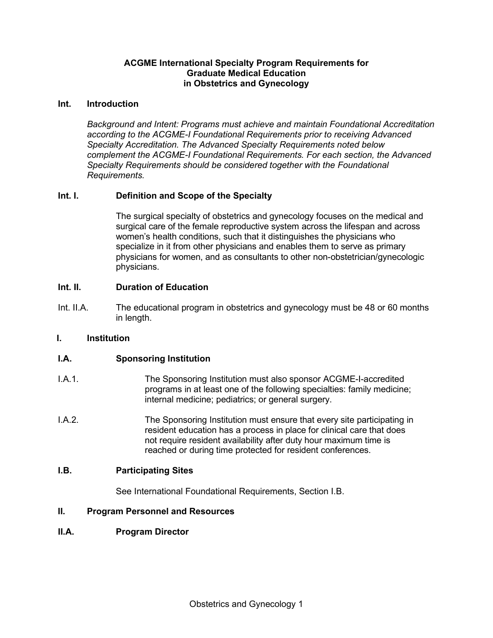## **ACGME International Specialty Program Requirements for Graduate Medical Education in Obstetrics and Gynecology**

#### **Int. Introduction**

*Background and Intent: Programs must achieve and maintain Foundational Accreditation according to the ACGME-I Foundational Requirements prior to receiving Advanced Specialty Accreditation. The Advanced Specialty Requirements noted below complement the ACGME-I Foundational Requirements. For each section, the Advanced Specialty Requirements should be considered together with the Foundational Requirements.*

# **Int. I. Definition and Scope of the Specialty**

The surgical specialty of obstetrics and gynecology focuses on the medical and surgical care of the female reproductive system across the lifespan and across women's health conditions, such that it distinguishes the physicians who specialize in it from other physicians and enables them to serve as primary physicians for women, and as consultants to other non-obstetrician/gynecologic physicians.

## **Int. II. Duration of Education**

Int. II.A. The educational program in obstetrics and gynecology must be 48 or 60 months in length.

#### **I. Institution**

## **I.A. Sponsoring Institution**

- I.A.1. The Sponsoring Institution must also sponsor ACGME-I-accredited programs in at least one of the following specialties: family medicine; internal medicine; pediatrics; or general surgery.
- I.A.2. The Sponsoring Institution must ensure that every site participating in resident education has a process in place for clinical care that does not require resident availability after duty hour maximum time is reached or during time protected for resident conferences.

#### **I.B. Participating Sites**

See International Foundational Requirements, Section I.B.

#### **II. Program Personnel and Resources**

#### **II.A. Program Director**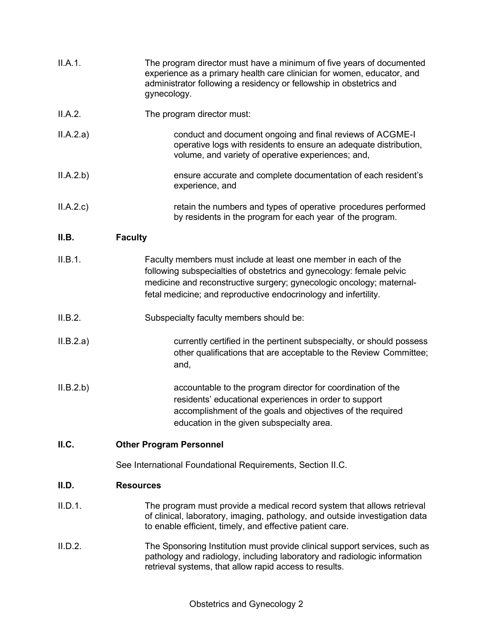| II.A.1.   | The program director must have a minimum of five years of documented<br>experience as a primary health care clinician for women, educator, and<br>administrator following a residency or fellowship in obstetrics and<br>gynecology.                                               |
|-----------|------------------------------------------------------------------------------------------------------------------------------------------------------------------------------------------------------------------------------------------------------------------------------------|
| II.A.2.   | The program director must:                                                                                                                                                                                                                                                         |
| II.A.2.a) | conduct and document ongoing and final reviews of ACGME-I<br>operative logs with residents to ensure an adequate distribution,<br>volume, and variety of operative experiences; and,                                                                                               |
| II.A.2.b) | ensure accurate and complete documentation of each resident's<br>experience, and                                                                                                                                                                                                   |
| II.A.2.c  | retain the numbers and types of operative procedures performed<br>by residents in the program for each year of the program.                                                                                                                                                        |
| II.B.     | <b>Faculty</b>                                                                                                                                                                                                                                                                     |
| II.B.1.   | Faculty members must include at least one member in each of the<br>following subspecialties of obstetrics and gynecology: female pelvic<br>medicine and reconstructive surgery; gynecologic oncology; maternal-<br>fetal medicine; and reproductive endocrinology and infertility. |
| II.B.2.   | Subspecialty faculty members should be:                                                                                                                                                                                                                                            |
| II.B.2.a) | currently certified in the pertinent subspecialty, or should possess<br>other qualifications that are acceptable to the Review Committee;<br>and,                                                                                                                                  |
| II.B.2.b) | accountable to the program director for coordination of the<br>residents' educational experiences in order to support<br>accomplishment of the goals and objectives of the required<br>education in the given subspecialty area.                                                   |
| ILC.      | <b>Other Program Personnel</b>                                                                                                                                                                                                                                                     |
|           | See International Foundational Requirements, Section II.C.                                                                                                                                                                                                                         |
| II.D.     | <b>Resources</b>                                                                                                                                                                                                                                                                   |
| II.D.1.   | The program must provide a medical record system that allows retrieval<br>of clinical, laboratory, imaging, pathology, and outside investigation data<br>to enable efficient, timely, and effective patient care.                                                                  |
| II.D.2.   | The Sponsoring Institution must provide clinical support services, such as<br>pathology and radiology, including laboratory and radiologic information<br>retrieval systems, that allow rapid access to results.                                                                   |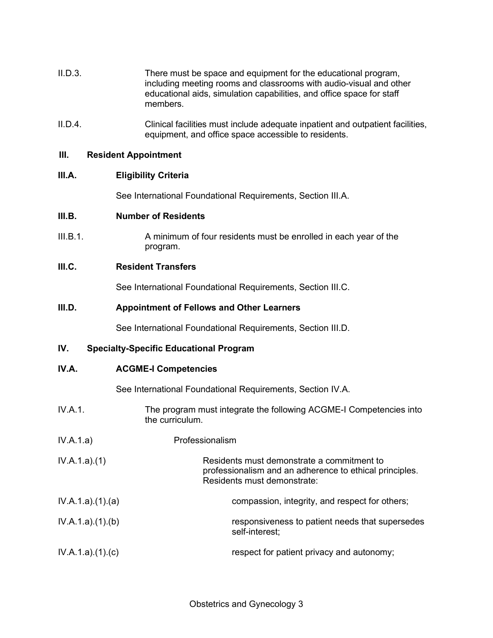- II.D.3. There must be space and equipment for the educational program, including meeting rooms and classrooms with audio-visual and other educational aids, simulation capabilities, and office space for staff members.
- II.D.4. Clinical facilities must include adequate inpatient and outpatient facilities, equipment, and office space accessible to residents.

#### **III. Resident Appointment**

## **III.A. Eligibility Criteria**

See International Foundational Requirements, Section III.A.

## **III.B. Number of Residents**

III.B.1. A minimum of four residents must be enrolled in each year of the program.

## **III.C. Resident Transfers**

See International Foundational Requirements, Section III.C.

## **III.D. Appointment of Fellows and Other Learners**

See International Foundational Requirements, Section III.D.

# **IV. Specialty-Specific Educational Program**

| IV.A. | <b>ACGME-I Competencies</b> |
|-------|-----------------------------|
|-------|-----------------------------|

See International Foundational Requirements, Section IV.A.

- IV.A.1. The program must integrate the following ACGME-I Competencies into the curriculum.
- IV.A.1.a) Professionalism
- IV.A.1.a).(1) Residents must demonstrate a commitment to professionalism and an adherence to ethical principles. Residents must demonstrate:
- IV.A.1.a).(1).(a) compassion, integrity, and respect for others; IV.A.1.a).(1).(b) responsiveness to patient needs that supersedes self-interest; IV.A.1.a).(1).(c) **respect for patient privacy and autonomy**;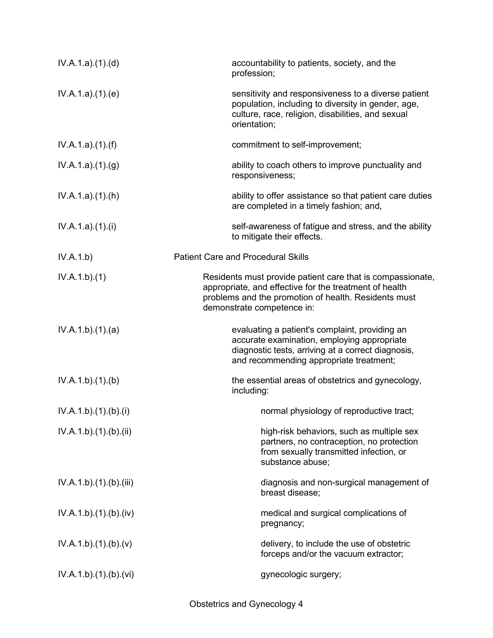| IV.A.1.a)(1)(d)      | accountability to patients, society, and the<br>profession;                                                                                                                                                |
|----------------------|------------------------------------------------------------------------------------------------------------------------------------------------------------------------------------------------------------|
| IV.A.1.a)(1)(e)      | sensitivity and responsiveness to a diverse patient<br>population, including to diversity in gender, age,<br>culture, race, religion, disabilities, and sexual<br>orientation;                             |
| IV.A.1.a)(1)(f)      | commitment to self-improvement;                                                                                                                                                                            |
| IV.A.1.a)(1)(g)      | ability to coach others to improve punctuality and<br>responsiveness;                                                                                                                                      |
| IV.A.1.a)(1)(h)      | ability to offer assistance so that patient care duties<br>are completed in a timely fashion; and,                                                                                                         |
| IV.A.1.a)(1)(i)      | self-awareness of fatigue and stress, and the ability<br>to mitigate their effects.                                                                                                                        |
| IV.A.1.b)            | <b>Patient Care and Procedural Skills</b>                                                                                                                                                                  |
| IV.A.1.b)(1)         | Residents must provide patient care that is compassionate,<br>appropriate, and effective for the treatment of health<br>problems and the promotion of health. Residents must<br>demonstrate competence in: |
| IV.A.1.b)(1)(a)      | evaluating a patient's complaint, providing an<br>accurate examination, employing appropriate<br>diagnostic tests, arriving at a correct diagnosis,<br>and recommending appropriate treatment;             |
| IV.A.1.b)(1)(b)      | the essential areas of obstetrics and gynecology,<br>including:                                                                                                                                            |
| IV.A.1.b)(1)(b)(i)   | normal physiology of reproductive tract;                                                                                                                                                                   |
| IV.A.1.b)(1)(b)(ii)  | high-risk behaviors, such as multiple sex<br>partners, no contraception, no protection<br>from sexually transmitted infection, or<br>substance abuse;                                                      |
| IV.A.1.b)(1)(b)(iii) | diagnosis and non-surgical management of<br>breast disease:                                                                                                                                                |
| IV.A.1.b)(1)(b)(iv)  | medical and surgical complications of<br>pregnancy;                                                                                                                                                        |
| IV.A.1.b)(1)(b)(v)   | delivery, to include the use of obstetric<br>forceps and/or the vacuum extractor;                                                                                                                          |
| IV.A.1.b)(1)(b)(vi)  | gynecologic surgery;                                                                                                                                                                                       |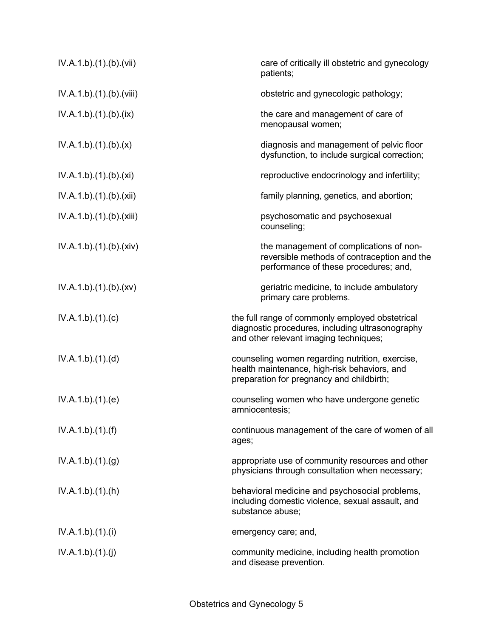| IV.A.1.b).(1).(b).(vii)  | care of critically ill obstetric and gynecology<br>patients;                                                                                  |
|--------------------------|-----------------------------------------------------------------------------------------------------------------------------------------------|
| IV.A.1.b)(1)(b)(viii)    | obstetric and gynecologic pathology;                                                                                                          |
| IV.A.1.b)(1)(b)(ix)      | the care and management of care of<br>menopausal women;                                                                                       |
| IV.A.1.b)(1)(b)(x)       | diagnosis and management of pelvic floor<br>dysfunction, to include surgical correction;                                                      |
| IV.A.1.b)(1)(b)(xi)      | reproductive endocrinology and infertility;                                                                                                   |
| IV.A.1.b)(1)(b)(xii)     | family planning, genetics, and abortion;                                                                                                      |
| IV.A.1.b).(1).(b).(xiii) | psychosomatic and psychosexual<br>counseling;                                                                                                 |
| IV.A.1.b)(1)(b)(xiv)     | the management of complications of non-<br>reversible methods of contraception and the<br>performance of these procedures; and,               |
| IV.A.1.b)(1)(b)(xv)      | geriatric medicine, to include ambulatory<br>primary care problems.                                                                           |
| IV.A.1.b)(1)(c)          | the full range of commonly employed obstetrical<br>diagnostic procedures, including ultrasonography<br>and other relevant imaging techniques; |
| IV.A.1.b)(1)(d)          | counseling women regarding nutrition, exercise,<br>health maintenance, high-risk behaviors, and<br>preparation for pregnancy and childbirth;  |
| IV.A.1.b)(1)(e)          | counseling women who have undergone genetic<br>amniocentesis;                                                                                 |
| IV.A.1.b)(1)(f)          | continuous management of the care of women of all<br>ages;                                                                                    |
| IV.A.1.b)(1)(g)          | appropriate use of community resources and other<br>physicians through consultation when necessary;                                           |
| IV.A.1.b)(1)(h)          | behavioral medicine and psychosocial problems,<br>including domestic violence, sexual assault, and<br>substance abuse;                        |
| IV.A.1.b)(1)(i)          | emergency care; and,                                                                                                                          |
| IV.A.1.b)(1)(j)          | community medicine, including health promotion<br>and disease prevention.                                                                     |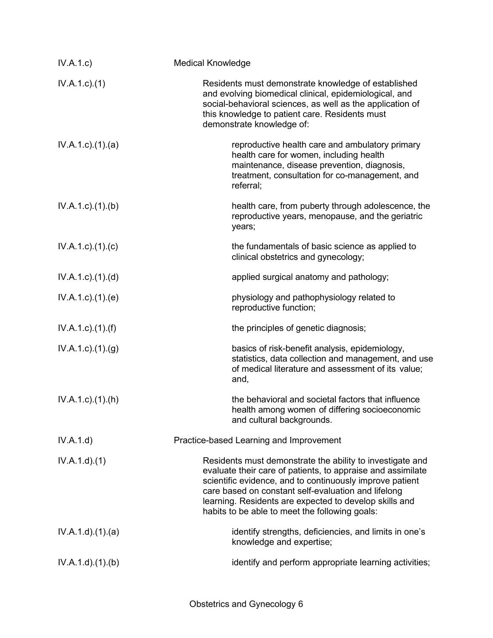| IV.A.1.c)                 | <b>Medical Knowledge</b>                                                                                                                                                                                                                                                                                                                                |
|---------------------------|---------------------------------------------------------------------------------------------------------------------------------------------------------------------------------------------------------------------------------------------------------------------------------------------------------------------------------------------------------|
| $IV.A.1.c.$ (1)           | Residents must demonstrate knowledge of established<br>and evolving biomedical clinical, epidemiological, and<br>social-behavioral sciences, as well as the application of<br>this knowledge to patient care. Residents must<br>demonstrate knowledge of:                                                                                               |
| $IV.A.1.c.$ $(1).$ $(a)$  | reproductive health care and ambulatory primary<br>health care for women, including health<br>maintenance, disease prevention, diagnosis,<br>treatment, consultation for co-management, and<br>referral;                                                                                                                                                |
| $IV.A.1.c.$ (1).(b)       | health care, from puberty through adolescence, the<br>reproductive years, menopause, and the geriatric<br>years;                                                                                                                                                                                                                                        |
| $IV.A.1.c$ ). $(1).$ (c)  | the fundamentals of basic science as applied to<br>clinical obstetrics and gynecology;                                                                                                                                                                                                                                                                  |
| $IV.A.1.c$ . $(1).$ $(d)$ | applied surgical anatomy and pathology;                                                                                                                                                                                                                                                                                                                 |
| $IV.A.1.c$ . $(1).$ (e)   | physiology and pathophysiology related to<br>reproductive function;                                                                                                                                                                                                                                                                                     |
| $IV.A.1.c$ ). $(1).(f)$   | the principles of genetic diagnosis;                                                                                                                                                                                                                                                                                                                    |
| $IV.A.1.c$ . $(1).(g)$    | basics of risk-benefit analysis, epidemiology,<br>statistics, data collection and management, and use<br>of medical literature and assessment of its value;<br>and,                                                                                                                                                                                     |
| $IV.A.1.c$ . $(1).(h)$    | the behavioral and societal factors that influence<br>health among women of differing socioeconomic<br>and cultural backgrounds.                                                                                                                                                                                                                        |
| IV.A.1.d)                 | Practice-based Learning and Improvement                                                                                                                                                                                                                                                                                                                 |
| IV.A.1.d)(1)              | Residents must demonstrate the ability to investigate and<br>evaluate their care of patients, to appraise and assimilate<br>scientific evidence, and to continuously improve patient<br>care based on constant self-evaluation and lifelong<br>learning. Residents are expected to develop skills and<br>habits to be able to meet the following goals: |
| IV.A.1.d)(1)(a)           | identify strengths, deficiencies, and limits in one's<br>knowledge and expertise;                                                                                                                                                                                                                                                                       |
| IV.A.1.d)(1)(b)           | identify and perform appropriate learning activities;                                                                                                                                                                                                                                                                                                   |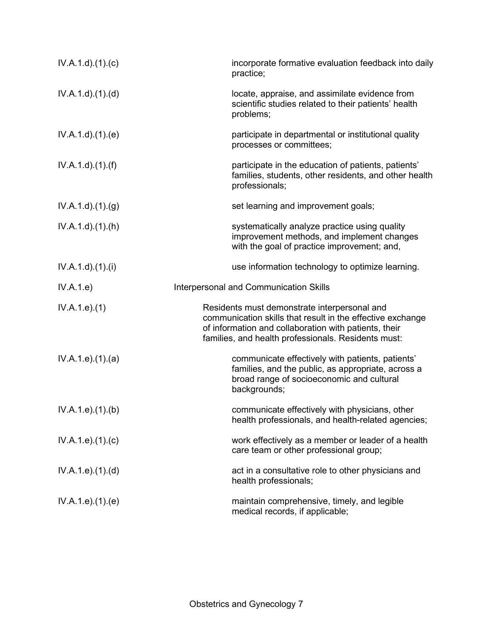| $IV.A.1.d$ . $(1).$ $(c)$ | incorporate formative evaluation feedback into daily<br>practice;                                                                                                                                                          |
|---------------------------|----------------------------------------------------------------------------------------------------------------------------------------------------------------------------------------------------------------------------|
| IV.A.1.d.(1).(d)          | locate, appraise, and assimilate evidence from<br>scientific studies related to their patients' health<br>problems;                                                                                                        |
| IV.A.1.d.(1).(e)          | participate in departmental or institutional quality<br>processes or committees;                                                                                                                                           |
| $IV.A.1.d$ . $(1).(f)$    | participate in the education of patients, patients'<br>families, students, other residents, and other health<br>professionals;                                                                                             |
| IV.A.1.d)(1)(g)           | set learning and improvement goals;                                                                                                                                                                                        |
| IV.A.1.d)(1)(h)           | systematically analyze practice using quality<br>improvement methods, and implement changes<br>with the goal of practice improvement; and,                                                                                 |
| $IV.A.1.d$ . $(1).$       | use information technology to optimize learning.                                                                                                                                                                           |
| IV.A.1.e)                 | Interpersonal and Communication Skills                                                                                                                                                                                     |
| IV.A.1.e. (1)             | Residents must demonstrate interpersonal and<br>communication skills that result in the effective exchange<br>of information and collaboration with patients, their<br>families, and health professionals. Residents must: |
| IV.A.1.e).(1).(a)         | communicate effectively with patients, patients'<br>families, and the public, as appropriate, across a<br>broad range of socioeconomic and cultural<br>backgrounds;                                                        |
| IV.A.1.e. (1). (b)        | communicate effectively with physicians, other<br>health professionals, and health-related agencies;                                                                                                                       |
| IV.A.1.e. (1). (c)        | work effectively as a member or leader of a health<br>care team or other professional group;                                                                                                                               |
| IV.A.1.e. (1). (d)        | act in a consultative role to other physicians and<br>health professionals;                                                                                                                                                |
| IV.A.1.e. (1). (e)        | maintain comprehensive, timely, and legible<br>medical records, if applicable;                                                                                                                                             |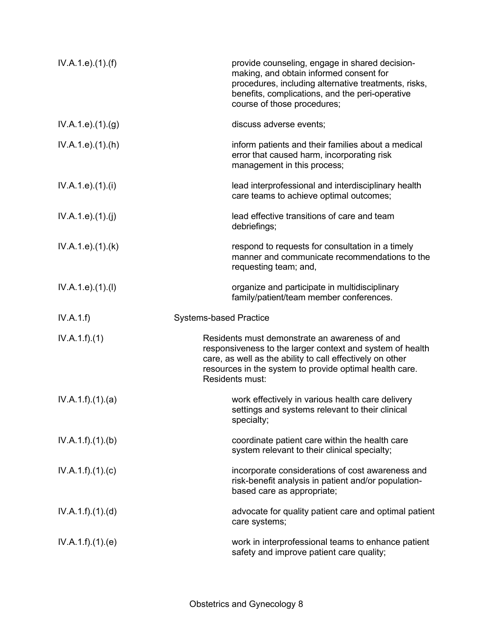| IV.A.1.e. (1). (f)            | provide counseling, engage in shared decision-<br>making, and obtain informed consent for<br>procedures, including alternative treatments, risks,<br>benefits, complications, and the peri-operative<br>course of those procedures;                    |
|-------------------------------|--------------------------------------------------------------------------------------------------------------------------------------------------------------------------------------------------------------------------------------------------------|
| IV.A.1.e. (1). <sub>(g)</sub> | discuss adverse events;                                                                                                                                                                                                                                |
| IV.A.1.e. (1).(h)             | inform patients and their families about a medical<br>error that caused harm, incorporating risk<br>management in this process;                                                                                                                        |
| IV.A.1.e. (1).(i)             | lead interprofessional and interdisciplinary health<br>care teams to achieve optimal outcomes;                                                                                                                                                         |
| IV.A.1.e. (1).(j)             | lead effective transitions of care and team<br>debriefings;                                                                                                                                                                                            |
| IV.A.1.e. (1).(k)             | respond to requests for consultation in a timely<br>manner and communicate recommendations to the<br>requesting team; and,                                                                                                                             |
| IV.A.1.e. (1). (I)            | organize and participate in multidisciplinary<br>family/patient/team member conferences.                                                                                                                                                               |
| IV.A.1.f)                     |                                                                                                                                                                                                                                                        |
|                               | <b>Systems-based Practice</b>                                                                                                                                                                                                                          |
| IV.A.1.f)(1)                  | Residents must demonstrate an awareness of and<br>responsiveness to the larger context and system of health<br>care, as well as the ability to call effectively on other<br>resources in the system to provide optimal health care.<br>Residents must: |
| IV.A.1.f)(1)(a)               | work effectively in various health care delivery<br>settings and systems relevant to their clinical<br>specialty;                                                                                                                                      |
| IV.A.1.f)(1)(b)               | coordinate patient care within the health care<br>system relevant to their clinical specialty;                                                                                                                                                         |
| IV.A.1.f)(1)(c)               | incorporate considerations of cost awareness and<br>risk-benefit analysis in patient and/or population-<br>based care as appropriate;                                                                                                                  |
| IV.A.1.f)(1)(d)               | advocate for quality patient care and optimal patient<br>care systems;                                                                                                                                                                                 |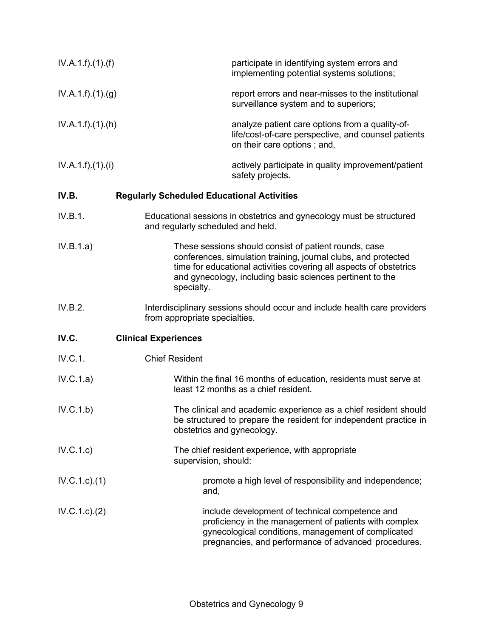| IV.A.1.f)(1)(f)   | participate in identifying system errors and<br>implementing potential systems solutions;                                                                                                                                                                                |
|-------------------|--------------------------------------------------------------------------------------------------------------------------------------------------------------------------------------------------------------------------------------------------------------------------|
| IV.A.1.f)(1)(g)   | report errors and near-misses to the institutional<br>surveillance system and to superiors;                                                                                                                                                                              |
| IV.A.1.f)(1)(h)   | analyze patient care options from a quality-of-<br>life/cost-of-care perspective, and counsel patients<br>on their care options; and,                                                                                                                                    |
| IV.A.1.f).(1).(i) | actively participate in quality improvement/patient<br>safety projects.                                                                                                                                                                                                  |
| IV.B.             | <b>Regularly Scheduled Educational Activities</b>                                                                                                                                                                                                                        |
| IV.B.1.           | Educational sessions in obstetrics and gynecology must be structured<br>and regularly scheduled and held.                                                                                                                                                                |
| IV.B.1.a)         | These sessions should consist of patient rounds, case<br>conferences, simulation training, journal clubs, and protected<br>time for educational activities covering all aspects of obstetrics<br>and gynecology, including basic sciences pertinent to the<br>specialty. |
| IV.B.2.           | Interdisciplinary sessions should occur and include health care providers<br>from appropriate specialties.                                                                                                                                                               |
| IV.C.             | <b>Clinical Experiences</b>                                                                                                                                                                                                                                              |
| IV.C.1.           | <b>Chief Resident</b>                                                                                                                                                                                                                                                    |
| IV.C.1.a)         | Within the final 16 months of education, residents must serve at<br>least 12 months as a chief resident.                                                                                                                                                                 |
| IV.C.1.b)         | The clinical and academic experience as a chief resident should<br>be structured to prepare the resident for independent practice in<br>obstetrics and gynecology.                                                                                                       |
| IV.C.1.c)         | The chief resident experience, with appropriate<br>supervision, should:                                                                                                                                                                                                  |
| IV.C.1.c.1(1)     | promote a high level of responsibility and independence;<br>and,                                                                                                                                                                                                         |
| IV.C.1.c.2)       | include development of technical competence and<br>proficiency in the management of patients with complex<br>gynecological conditions, management of complicated<br>pregnancies, and performance of advanced procedures.                                                 |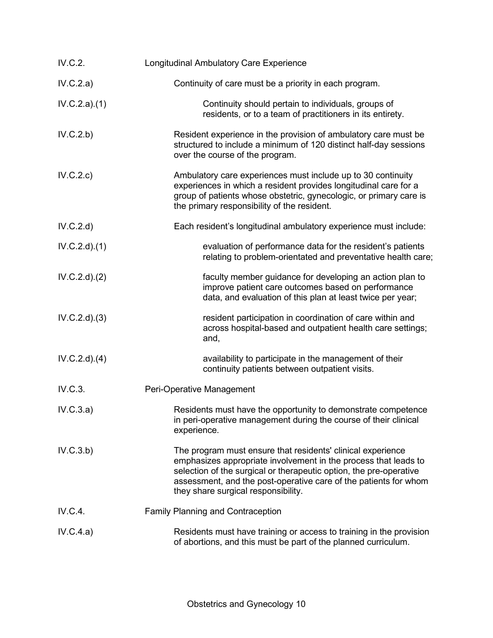| IV.C.2.      | <b>Longitudinal Ambulatory Care Experience</b>                                                                                                                                                                                                                                                                  |
|--------------|-----------------------------------------------------------------------------------------------------------------------------------------------------------------------------------------------------------------------------------------------------------------------------------------------------------------|
| IV.C.2.a)    | Continuity of care must be a priority in each program.                                                                                                                                                                                                                                                          |
| IV.C.2.a)(1) | Continuity should pertain to individuals, groups of<br>residents, or to a team of practitioners in its entirety.                                                                                                                                                                                                |
| IV.C.2.b)    | Resident experience in the provision of ambulatory care must be<br>structured to include a minimum of 120 distinct half-day sessions<br>over the course of the program.                                                                                                                                         |
| IV.C.2.c)    | Ambulatory care experiences must include up to 30 continuity<br>experiences in which a resident provides longitudinal care for a<br>group of patients whose obstetric, gynecologic, or primary care is<br>the primary responsibility of the resident.                                                           |
| IV.C.2.d)    | Each resident's longitudinal ambulatory experience must include:                                                                                                                                                                                                                                                |
| IV.C.2.d)(1) | evaluation of performance data for the resident's patients<br>relating to problem-orientated and preventative health care;                                                                                                                                                                                      |
| IV.C.2.d)(2) | faculty member guidance for developing an action plan to<br>improve patient care outcomes based on performance<br>data, and evaluation of this plan at least twice per year;                                                                                                                                    |
| IV.C.2.d)(3) | resident participation in coordination of care within and<br>across hospital-based and outpatient health care settings;<br>and,                                                                                                                                                                                 |
| IV.C.2.d)(4) | availability to participate in the management of their<br>continuity patients between outpatient visits.                                                                                                                                                                                                        |
| IV.C.3.      | Peri-Operative Management                                                                                                                                                                                                                                                                                       |
| IV.C.3.a)    | Residents must have the opportunity to demonstrate competence<br>in peri-operative management during the course of their clinical<br>experience.                                                                                                                                                                |
| IV.C.3.b)    | The program must ensure that residents' clinical experience<br>emphasizes appropriate involvement in the process that leads to<br>selection of the surgical or therapeutic option, the pre-operative<br>assessment, and the post-operative care of the patients for whom<br>they share surgical responsibility. |
| IV.C.4.      | <b>Family Planning and Contraception</b>                                                                                                                                                                                                                                                                        |
| IV.C.4.a)    | Residents must have training or access to training in the provision<br>of abortions, and this must be part of the planned curriculum.                                                                                                                                                                           |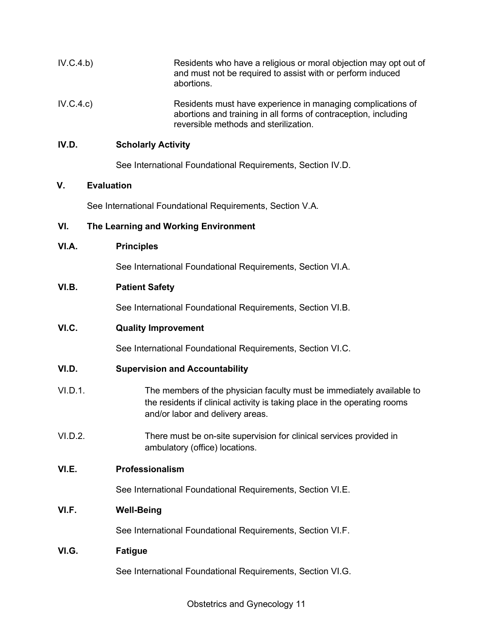| IV.C.4.b) | Residents who have a religious or moral objection may opt out of<br>and must not be required to assist with or perform induced<br>abortions.                                           |
|-----------|----------------------------------------------------------------------------------------------------------------------------------------------------------------------------------------|
| IV.C.4.c) | Residents must have experience in managing complications of<br>abortions and training in all forms of contraception, including<br>reversible methods and sterilization.                |
| IV.D.     | <b>Scholarly Activity</b>                                                                                                                                                              |
|           | See International Foundational Requirements, Section IV.D.                                                                                                                             |
| ۷.        | <b>Evaluation</b>                                                                                                                                                                      |
|           | See International Foundational Requirements, Section V.A.                                                                                                                              |
| VI.       | The Learning and Working Environment                                                                                                                                                   |
| VI.A.     | <b>Principles</b>                                                                                                                                                                      |
|           | See International Foundational Requirements, Section VI.A.                                                                                                                             |
| VI.B.     | <b>Patient Safety</b>                                                                                                                                                                  |
|           | See International Foundational Requirements, Section VI.B.                                                                                                                             |
| VI.C.     | <b>Quality Improvement</b>                                                                                                                                                             |
|           | See International Foundational Requirements, Section VI.C.                                                                                                                             |
| VI.D.     | <b>Supervision and Accountability</b>                                                                                                                                                  |
| VI.D.1.   | The members of the physician faculty must be immediately available to<br>the residents if clinical activity is taking place in the operating rooms<br>and/or labor and delivery areas. |
| VI.D.2.   | There must be on-site supervision for clinical services provided in<br>ambulatory (office) locations.                                                                                  |
| VI.E.     | Professionalism                                                                                                                                                                        |
|           | See International Foundational Requirements, Section VI.E.                                                                                                                             |
| VI.F.     | <b>Well-Being</b>                                                                                                                                                                      |
|           | See International Foundational Requirements, Section VI.F.                                                                                                                             |
| VI.G.     | <b>Fatigue</b>                                                                                                                                                                         |
|           | See International Foundational Requirements, Section VI.G.                                                                                                                             |